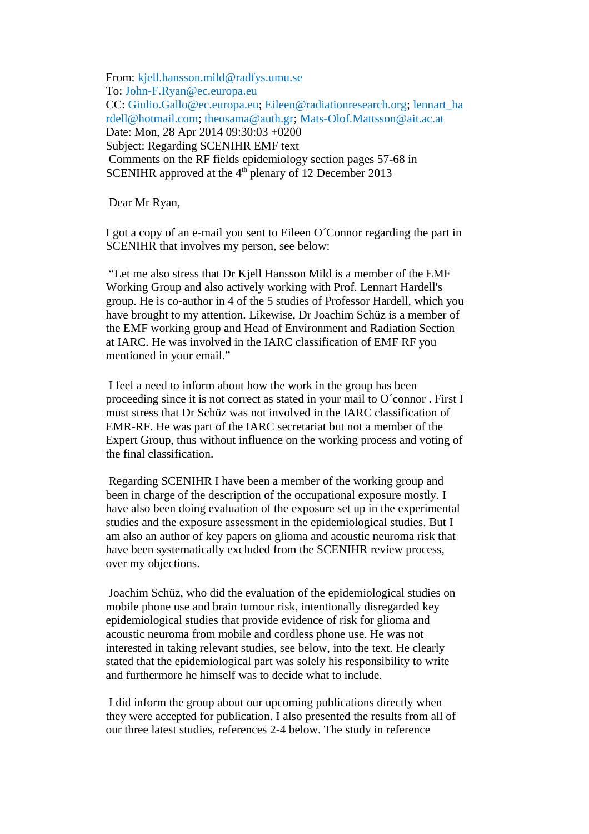From: [kjell.hansson.mild@radfys.umu.se](mailto:kjell.hansson.mild@radfys.umu.se) To: [John-F.Ryan@ec.europa.eu](mailto:John-F.Ryan@ec.europa.eu) CC: [Giulio.Gallo@ec.europa.eu;](mailto:Giulio.Gallo@ec.europa.eu) [Eileen@radiationresearch.org;](mailto:Eileen@radiationresearch.org) [lennart\\_ha](mailto:lennart_hardell@hotmail.com) [rdell@hotmail.com;](mailto:lennart_hardell@hotmail.com) [theosama@auth.gr;](mailto:theosama@auth.gr) [Mats-Olof.Mattsson@ait.ac.at](mailto:Mats-Olof.Mattsson@ait.ac.at) Date: Mon, 28 Apr 2014 09:30:03 +0200 Subject: Regarding SCENIHR EMF text Comments on the RF fields epidemiology section pages 57-68 in SCENIHR approved at the  $4<sup>th</sup>$  plenary of 12 December 2013

Dear Mr Ryan,

I got a copy of an e-mail you sent to Eileen O´Connor regarding the part in SCENIHR that involves my person, see below:

"Let me also stress that Dr Kjell Hansson Mild is a member of the EMF Working Group and also actively working with Prof. Lennart Hardell's group. He is co-author in 4 of the 5 studies of Professor Hardell, which you have brought to my attention. Likewise, Dr Joachim Schüz is a member of the EMF working group and Head of Environment and Radiation Section at IARC. He was involved in the IARC classification of EMF RF you mentioned in your email."

I feel a need to inform about how the work in the group has been proceeding since it is not correct as stated in your mail to O´connor . First I must stress that Dr Schüz was not involved in the IARC classification of EMR-RF. He was part of the IARC secretariat but not a member of the Expert Group, thus without influence on the working process and voting of the final classification.

Regarding SCENIHR I have been a member of the working group and been in charge of the description of the occupational exposure mostly. I have also been doing evaluation of the exposure set up in the experimental studies and the exposure assessment in the epidemiological studies. But I am also an author of key papers on glioma and acoustic neuroma risk that have been systematically excluded from the SCENIHR review process, over my objections.

Joachim Schüz, who did the evaluation of the epidemiological studies on mobile phone use and brain tumour risk, intentionally disregarded key epidemiological studies that provide evidence of risk for glioma and acoustic neuroma from mobile and cordless phone use. He was not interested in taking relevant studies, see below, into the text. He clearly stated that the epidemiological part was solely his responsibility to write and furthermore he himself was to decide what to include.

I did inform the group about our upcoming publications directly when they were accepted for publication. I also presented the results from all of our three latest studies, references 2-4 below. The study in reference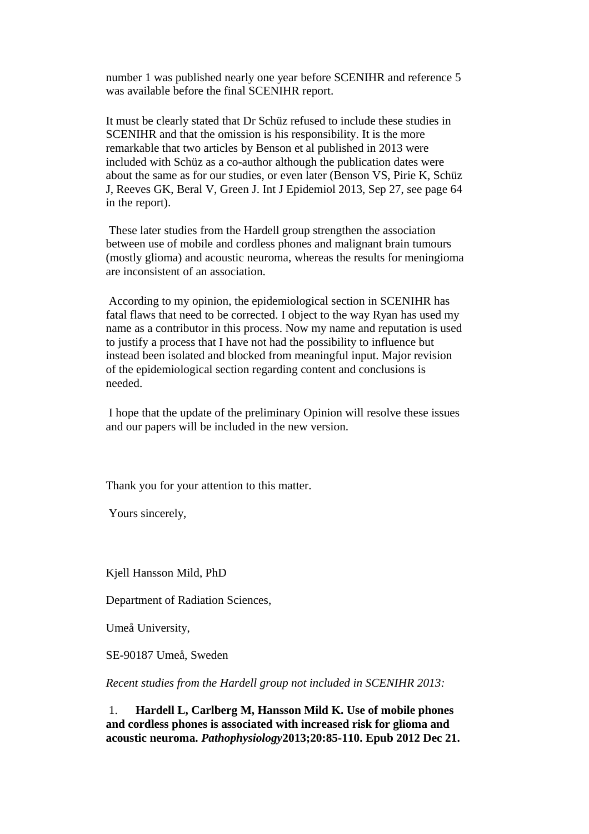number 1 was published nearly one year before SCENIHR and reference 5 was available before the final SCENIHR report.

It must be clearly stated that Dr Schüz refused to include these studies in SCENIHR and that the omission is his responsibility. It is the more remarkable that two articles by Benson et al published in 2013 were included with Schüz as a co-author although the publication dates were about the same as for our studies, or even later (Benson VS, Pirie K, Schüz J, Reeves GK, Beral V, Green J. Int J Epidemiol 2013, Sep 27, see page 64 in the report).

These later studies from the Hardell group strengthen the association between use of mobile and cordless phones and malignant brain tumours (mostly glioma) and acoustic neuroma, whereas the results for meningioma are inconsistent of an association.

According to my opinion, the epidemiological section in SCENIHR has fatal flaws that need to be corrected. I object to the way Ryan has used my name as a contributor in this process. Now my name and reputation is used to justify a process that I have not had the possibility to influence but instead been isolated and blocked from meaningful input. Major revision of the epidemiological section regarding content and conclusions is needed.

I hope that the update of the preliminary Opinion will resolve these issues and our papers will be included in the new version.

Thank you for your attention to this matter.

Yours sincerely,

Kjell Hansson Mild, PhD

Department of Radiation Sciences,

Umeå University,

SE-90187 Umeå, Sweden

*Recent studies from the Hardell group not included in SCENIHR 2013:*

1. **Hardell L, Carlberg M, Hansson Mild K. Use of mobile phones and cordless phones is associated with increased risk for glioma and acoustic neuroma.** *Pathophysiology***2013;20:85-110. Epub 2012 Dec 21.**